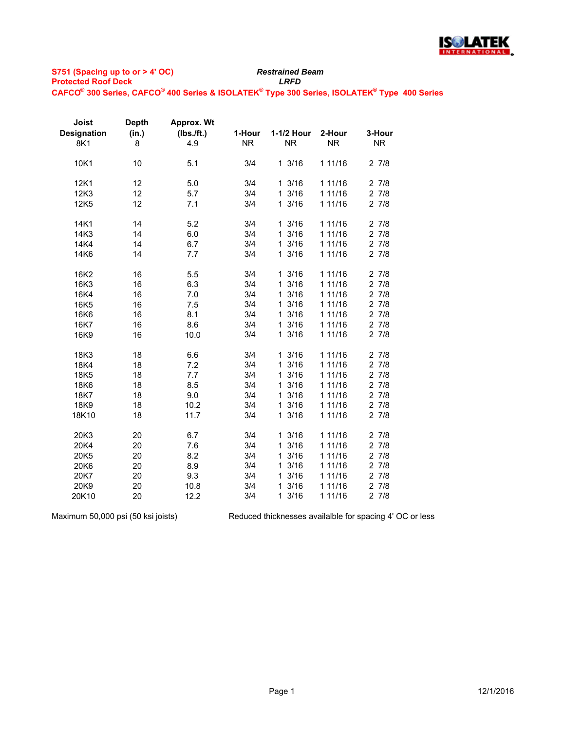

| Joist              | <b>Depth</b> | Approx. Wt   |           |            |           |           |
|--------------------|--------------|--------------|-----------|------------|-----------|-----------|
| <b>Designation</b> | (in.)        | $(Ibs.$ ft.) | 1-Hour    | 1-1/2 Hour | 2-Hour    | 3-Hour    |
| 8K1                | 8            | 4.9          | <b>NR</b> | <b>NR</b>  | <b>NR</b> | <b>NR</b> |
| 10K1               | 10           | 5.1          | 3/4       | 13/16      | 1 11/16   | 27/8      |
| 12K1               | 12           | 5.0          | 3/4       | 13/16      | 1 11/16   | 27/8      |
| 12K3               | 12           | 5.7          | 3/4       | 13/16      | 1 11/16   | 27/8      |
| 12K <sub>5</sub>   | 12           | 7.1          | 3/4       | 13/16      | 1 11/16   | 27/8      |
| 14K1               | 14           | 5.2          | 3/4       | 13/16      | 1 11/16   | 27/8      |
| 14K3               | 14           | 6.0          | 3/4       | 13/16      | 1 11/16   | 27/8      |
| 14K4               | 14           | 6.7          | 3/4       | 13/16      | 1 11/16   | 27/8      |
| 14K6               | 14           | 7.7          | 3/4       | 13/16      | 1 11/16   | 27/8      |
| 16K2               | 16           | 5.5          | 3/4       | 13/16      | 1 11/16   | 27/8      |
| 16K3               | 16           | 6.3          | 3/4       | 13/16      | 1 11/16   | 27/8      |
| 16K4               | 16           | 7.0          | 3/4       | 13/16      | 1 11/16   | 27/8      |
| 16K5               | 16           | 7.5          | 3/4       | 13/16      | 1 11/16   | 27/8      |
| 16K6               | 16           | 8.1          | 3/4       | 13/16      | 1 11/16   | 27/8      |
| 16K7               | 16           | 8.6          | 3/4       | 13/16      | 1 11/16   | 27/8      |
| 16K9               | 16           | 10.0         | 3/4       | 13/16      | 1 11/16   | 27/8      |
| 18K3               | 18           | 6.6          | 3/4       | 13/16      | 1 11/16   | 27/8      |
| 18K4               | 18           | 7.2          | 3/4       | 13/16      | 1 11/16   | 27/8      |
| 18K5               | 18           | 7.7          | 3/4       | 13/16      | 1 11/16   | 27/8      |
| 18K6               | 18           | 8.5          | 3/4       | 13/16      | 1 11/16   | 27/8      |
| 18K7               | 18           | 9.0          | 3/4       | 13/16      | 1 11/16   | 27/8      |
| 18K9               | 18           | 10.2         | 3/4       | 13/16      | 1 11/16   | 27/8      |
| 18K10              | 18           | 11.7         | 3/4       | 13/16      | 1 11/16   | 27/8      |
| 20K3               | 20           | 6.7          | 3/4       | 13/16      | 1 11/16   | 27/8      |
| 20K4               | 20           | 7.6          | 3/4       | 13/16      | 1 11/16   | 27/8      |
| 20K5               | 20           | 8.2          | 3/4       | 13/16      | 1 11/16   | 27/8      |
| 20K6               | 20           | 8.9          | 3/4       | 13/16      | 1 11/16   | 27/8      |
| 20K7               | 20           | 9.3          | 3/4       | 13/16      | 1 11/16   | 27/8      |
| 20K9               | 20           | 10.8         | 3/4       | 13/16      | 1 11/16   | 27/8      |
| 20K10              | 20           | 12.2         | 3/4       | 13/16      | 1 11/16   | 27/8      |

Maximum 50,000 psi (50 ksi joists)

Reduced thicknesses availalble for spacing 4' OC or less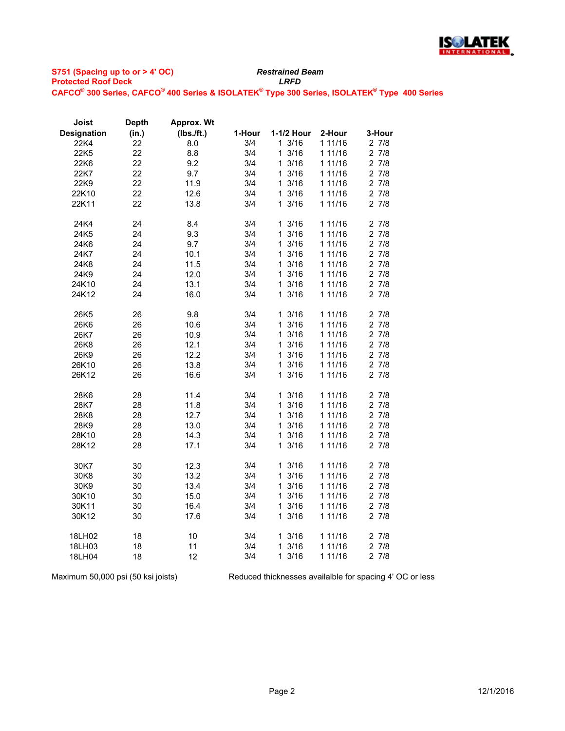

| Joist              | <b>Depth</b> | Approx. Wt |        |                     |         |           |
|--------------------|--------------|------------|--------|---------------------|---------|-----------|
| <b>Designation</b> | (in.)        | (Ibs./ft.) | 1-Hour | 1-1/2 Hour          | 2-Hour  | 3-Hour    |
| 22K4               | 22           | 8.0        | 3/4    | 13/16               | 1 11/16 | 27/8      |
| 22K5               | 22           | 8.8        | 3/4    | 13/16               | 1 11/16 | 27/8      |
| 22K6               | 22           | 9.2        | 3/4    | 13/16               | 1 11/16 | 27/8      |
| 22K7               | 22           | 9.7        | 3/4    | 13/16               | 1 11/16 | 27/8      |
| 22K9               | 22           | 11.9       | 3/4    | 13/16               | 1 11/16 | 27/8      |
| 22K10              | 22           | 12.6       | 3/4    | 13/16               | 1 11/16 | 27/8      |
| 22K11              | 22           | 13.8       | 3/4    | 13/16               | 1 11/16 | 27/8      |
|                    |              |            |        |                     |         |           |
| 24K4               | 24           | 8.4        | 3/4    | 13/16               | 1 11/16 | 27/8      |
| 24K5               | 24           | 9.3        | 3/4    | 13/16               | 1 11/16 | 27/8      |
| 24K6               | 24           | 9.7        | 3/4    | 13/16               | 1 11/16 | 27/8      |
| 24K7               | 24           | 10.1       | 3/4    | 13/16               | 1 11/16 | 27/8      |
| 24K8               | 24           | 11.5       | 3/4    | 13/16               | 1 11/16 | 27/8      |
| 24K9               | 24           | 12.0       | 3/4    | 13/16               | 1 11/16 | 27/8      |
| 24K10              | 24           | 13.1       | 3/4    | 13/16               | 1 11/16 | 27/8      |
| 24K12              | 24           | 16.0       | 3/4    | 13/16               | 1 11/16 | 27/8      |
|                    |              |            |        |                     |         |           |
| 26K <sub>5</sub>   | 26           | 9.8        | 3/4    | 13/16               | 1 11/16 | 27/8      |
| 26K6               | 26           | 10.6       | 3/4    | 13/16               | 1 11/16 | 27/8      |
| 26K7               | 26           | 10.9       | 3/4    | 3/16<br>1           | 1 11/16 | $2 \t7/8$ |
| 26K8               | 26           | 12.1       | 3/4    | 13/16               | 1 11/16 | 27/8      |
| 26K9               | 26           | 12.2       | 3/4    | 13/16               | 1 11/16 | 27/8      |
| 26K10              | 26           | 13.8       | 3/4    | 3/16<br>$\mathbf 1$ | 1 11/16 | 27/8      |
| 26K12              | 26           | 16.6       | 3/4    | 13/16               | 1 11/16 | 27/8      |
|                    |              |            |        |                     |         |           |
| 28K6               | 28           | 11.4       | 3/4    | 13/16               | 1 11/16 | 27/8      |
| 28K7               | 28           | 11.8       | 3/4    | 13/16               | 1 11/16 | 27/8      |
| 28K8               | 28           | 12.7       | 3/4    | 13/16               | 1 11/16 | 27/8      |
| 28K9               | 28           | 13.0       | 3/4    | 3/16<br>1.          | 1 11/16 | 27/8      |
| 28K10              | 28           | 14.3       | 3/4    | 13/16               | 1 11/16 | 27/8      |
| 28K12              | 28           | 17.1       | 3/4    | 13/16               | 1 11/16 | 27/8      |
|                    |              |            |        |                     |         |           |
| 30K7               | 30           | 12.3       | 3/4    | 13/16               | 1 11/16 | 27/8      |
| 30K8               | 30           | 13.2       | 3/4    | 13/16               | 1 11/16 | 27/8      |
| 30K9               | 30           | 13.4       | 3/4    | 3/16<br>1.          | 1 11/16 | 27/8      |
| 30K10              | 30           | 15.0       | 3/4    | 13/16               | 1 11/16 | 27/8      |
| 30K11              | 30           | 16.4       | 3/4    | 13/16               | 1 11/16 | 27/8      |
| 30K12              | 30           | 17.6       | 3/4    | 13/16               | 1 11/16 | 27/8      |
|                    |              |            |        |                     |         |           |
| 18LH02             | 18           | 10         | 3/4    | 13/16               | 1 11/16 | 27/8      |
| 18LH03             | 18           | 11         | 3/4    | 13/16               | 1 11/16 | 27/8      |
| 18LH04             | 18           | 12         | 3/4    | 13/16               | 1 11/16 | 27/8      |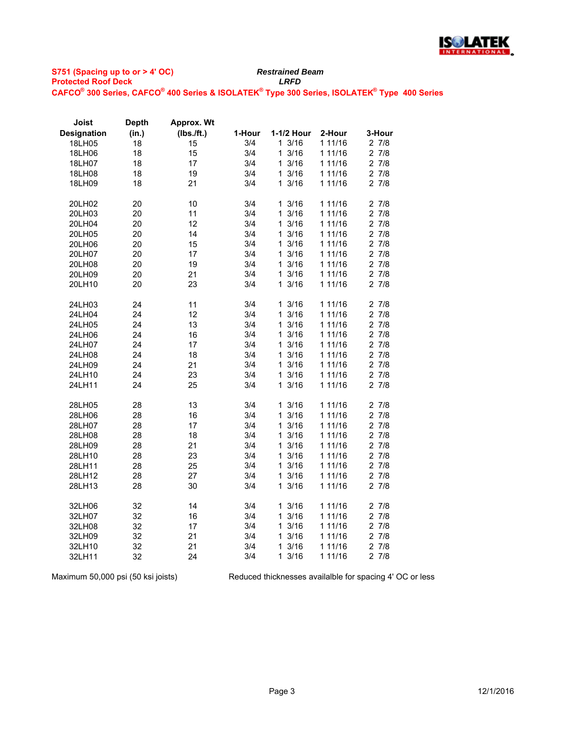

| Joist              | <b>Depth</b> | <b>Approx. Wt</b> |        |                      |         |           |
|--------------------|--------------|-------------------|--------|----------------------|---------|-----------|
| <b>Designation</b> | (in.)        | (Ibs./ft.)        | 1-Hour | 1-1/2 Hour           | 2-Hour  | 3-Hour    |
| 18LH05             | 18           | 15                | 3/4    | 13/16                | 1 11/16 | 27/8      |
| 18LH06             | 18           | 15                | 3/4    | 3/16<br>$\mathbf{1}$ | 1 11/16 | 27/8      |
| 18LH07             | 18           | 17                | 3/4    | 13/16                | 1 11/16 | 27/8      |
| 18LH08             | 18           | 19                | 3/4    | 13/16                | 1 11/16 | 27/8      |
| 18LH09             | 18           | 21                | 3/4    | 3/16<br>1.           | 1 11/16 | 27/8      |
| 20LH02             | 20           | 10                | 3/4    | 13/16                | 1 11/16 | 27/8      |
| 20LH03             | 20           | 11                | 3/4    | 3/16<br>$\mathbf{1}$ | 1 11/16 | 27/8      |
| 20LH04             | 20           | 12                | 3/4    | 13/16                | 1 11/16 | 27/8      |
| 20LH05             | 20           | 14                | 3/4    | 3/16<br>1.           | 1 11/16 | 27/8      |
| 20LH06             | 20           | 15                | 3/4    | 3/16<br>$\mathbf{1}$ | 1 11/16 | 27/8      |
| 20LH07             | 20           | 17                | 3/4    | 13/16                | 1 11/16 | 27/8      |
| 20LH08             | 20           | 19                | 3/4    | 13/16                | 1 11/16 | 27/8      |
| 20LH09             | 20           | 21                | 3/4    | 13/16                | 1 11/16 | 27/8      |
| 20LH10             | 20           | 23                | 3/4    | 3/16<br>$\mathbf{1}$ | 1 11/16 | 27/8      |
| 24LH03             | 24           | 11                | 3/4    | 13/16                | 1 11/16 | 27/8      |
| 24LH04             | 24           | 12                | 3/4    | $\mathbf{1}$<br>3/16 | 1 11/16 | $2 \t7/8$ |
| 24LH05             | 24           | 13                | 3/4    | 13/16                | 1 11/16 | 27/8      |
| 24LH06             | 24           | 16                | 3/4    | 13/16                | 1 11/16 | 27/8      |
| 24LH07             | 24           | 17                | 3/4    | 13/16                | 1 11/16 | 27/8      |
| 24LH08             | 24           | 18                | 3/4    | 13/16                | 1 11/16 | $2 \t7/8$ |
| 24LH09             | 24           | 21                | 3/4    | 13/16                | 1 11/16 | 27/8      |
| 24LH10             | 24           | 23                | 3/4    | 13/16                | 1 11/16 | 27/8      |
| 24LH11             | 24           | 25                | 3/4    | 3/16<br>1.           | 1 11/16 | 27/8      |
| 28LH05             | 28           | 13                | 3/4    | 13/16                | 1 11/16 | 27/8      |
| 28LH06             | 28           | 16                | 3/4    | $\mathbf{1}$<br>3/16 | 1 11/16 | 27/8      |
| 28LH07             | 28           | 17                | 3/4    | 13/16                | 1 11/16 | 27/8      |
| 28LH08             | 28           | 18                | 3/4    | 3/16<br>1.           | 1 11/16 | 27/8      |
| 28LH09             | 28           | 21                | 3/4    | 13/16                | 1 11/16 | 27/8      |
| 28LH10             | 28           | 23                | 3/4    | 13/16                | 1 11/16 | 27/8      |
| 28LH11             | 28           | 25                | 3/4    | 13/16                | 1 11/16 | 27/8      |
| 28LH12             | 28           | 27                | 3/4    | 13/16                | 1 11/16 | 27/8      |
| 28LH13             | 28           | 30                | 3/4    | 3/16<br>$\mathbf{1}$ | 1 11/16 | 27/8      |
| 32LH06             | 32           | 14                | 3/4    | 13/16                | 1 11/16 | 27/8      |
| 32LH07             | 32           | 16                | 3/4    | $\mathbf{1}$<br>3/16 | 1 11/16 | 27/8      |
| 32LH08             | 32           | 17                | 3/4    | 13/16                | 1 11/16 | 27/8      |
| 32LH09             | 32           | 21                | 3/4    | 13/16                | 1 11/16 | 27/8      |
| 32LH10             | 32           | 21                | 3/4    | 13/16                | 1 11/16 | 27/8      |
| 32LH11             | 32           | 24                | 3/4    | 13/16                | 1 11/16 | 27/8      |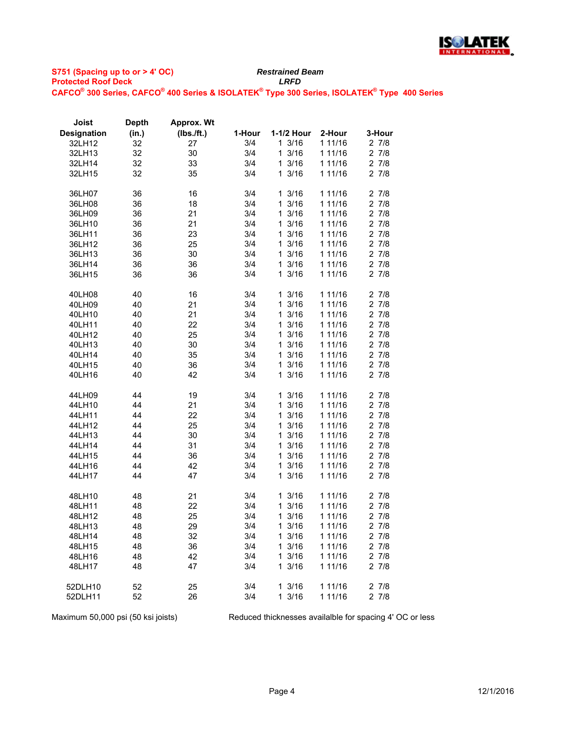

| Joist              | <b>Depth</b> | <b>Approx. Wt</b> |        |                           |                    |                   |
|--------------------|--------------|-------------------|--------|---------------------------|--------------------|-------------------|
| <b>Designation</b> | (in.)        | (Ibs./ft.)        | 1-Hour | 1-1/2 Hour                | 2-Hour             | 3-Hour            |
| 32LH12             | 32           | 27                | 3/4    | 13/16                     | 1 11/16            | 27/8              |
| 32LH13             | 32           | 30                | 3/4    | 13/16                     | 1 11/16            | 27/8              |
| 32LH14             | 32           | 33                | 3/4    | 13/16                     | 1 11/16            | 27/8              |
| 32LH15             | 32           | 35                | 3/4    | 13/16                     | 1 11/16            | 27/8              |
|                    |              |                   |        |                           |                    |                   |
| 36LH07             | 36           | 16                | 3/4    | 13/16<br>$1 \frac{3}{16}$ | 1 11/16            | 27/8<br>$2 \t7/8$ |
| 36LH08             | 36           | 18                | 3/4    |                           | 1 11/16            | 27/8              |
| 36LH09             | 36           | 21                | 3/4    | 13/16                     | 1 11/16            |                   |
| 36LH10             | 36           | 21                | 3/4    | 13/16                     | 1 11/16            | 27/8              |
| 36LH11             | 36           | 23                | 3/4    | 13/16                     | 1 11/16            | $2 \t7/8$         |
| 36LH12             | 36           | 25                | 3/4    | 13/16                     | 1 11/16            | 27/8              |
| 36LH13             | 36           | 30                | 3/4    | 13/16                     | 1 11/16            | 27/8              |
| 36LH14             | 36           | 36                | 3/4    | 13/16                     | 1 11/16            | 27/8              |
| 36LH15             | 36           | 36                | 3/4    | 13/16                     | 1 11/16            | 27/8              |
| 40LH08             | 40           | 16                | 3/4    | 13/16                     | 1 11/16            | 27/8              |
| 40LH09             | 40           | 21                | 3/4    | 13/16                     | 1 11/16            | 27/8              |
| 40LH10             | 40           | 21                | 3/4    | 13/16                     | 1 11/16            | 27/8              |
| 40LH11             | 40           | 22                | 3/4    | $1 \frac{3}{16}$          | 1 11/16            | 27/8              |
| 40LH12             | 40           | 25                | 3/4    | 13/16                     | 1 11/16            | 27/8              |
| 40LH13             | 40           | 30                | 3/4    | 13/16                     | 1 11/16            | 27/8              |
| 40LH14             | 40           | 35                | 3/4    | 13/16                     | 1 11/16            | $2 \t7/8$         |
| 40LH15             | 40           | 36                | 3/4    | 13/16                     | 1 11/16            | 27/8              |
| 40LH16             | 40           | 42                | 3/4    | 13/16                     | 1 11/16            | 27/8              |
| 44LH09             | 44           | 19                | 3/4    | 13/16                     | 1 11/16            | 27/8              |
| 44LH10             | 44           | 21                | 3/4    | 13/16                     | 1 11/16            | 27/8              |
| 44LH11             | 44           | 22                | 3/4    | 13/16                     | 1 11/16            | 27/8              |
| 44LH12             | 44           | 25                | 3/4    | 13/16                     | 1 11/16            | 27/8              |
| 44LH13             | 44           | 30                | 3/4    | 13/16                     | 1 11/16            | 27/8              |
| 44LH14             | 44           | 31                | 3/4    | $1 \frac{3}{16}$          | 1 11/16            | 27/8              |
| 44LH15             | 44           | 36                | 3/4    | 13/16                     | 1 11/16            | 27/8              |
| 44LH16             | 44           | 42                | 3/4    | 13/16                     | 1 11/16            | 27/8              |
| 44LH17             | 44           | 47                | 3/4    | 13/16                     | 1 11/16            | 27/8              |
| 48LH10             | 48           | 21                | 3/4    | 13/16                     | 1 11/16            | 27/8              |
| 48LH11             | 48           | 22                | 3/4    | 13/16                     | 1 11/16            | 27/8              |
| 48LH12             | 48           | 25                | 3/4    | 13/16                     | 1 11/16            | 27/8              |
| 48LH13             | 48           | 29                | 3/4    | 13/16                     | 1 11/16            | 27/8              |
|                    |              |                   |        |                           |                    |                   |
| 48LH14             | 48           | 32                | 3/4    | $1 \frac{3}{16}$<br>13/16 | 1 11/16<br>1 11/16 | 2 7/8             |
| 48LH15             | 48           | 36                | 3/4    |                           |                    | 27/8              |
| 48LH16             | 48           | 42                | 3/4    | 13/16                     | 1 11/16            | $2 \t7/8$         |
| 48LH17             | 48           | 47                | 3/4    | 13/16                     | 1 11/16            | 27/8              |
| 52DLH10            | 52           | 25                | 3/4    | 13/16                     | 1 11/16            | 27/8              |
| 52DLH11            | 52           | 26                | 3/4    | 13/16                     | 1 11/16            | 27/8              |